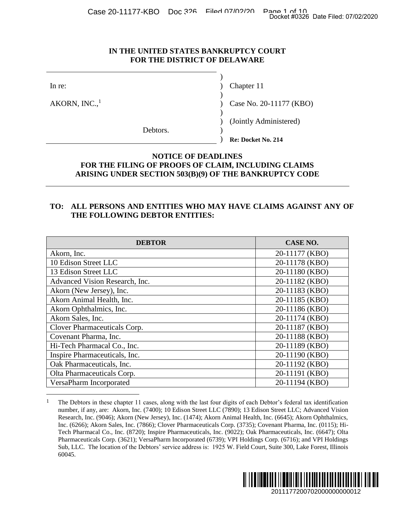Case 20-11177-KBO Doc 326 Filed 07/02/20 Page 1 of 10<br>Docket #0326 Date Filed: 07/02/2020

#### **IN THE UNITED STATES BANKRUPTCY COURT FOR THE DISTRICT OF DELAWARE**

#### **NOTICE OF DEADLINES FOR THE FILING OF PROOFS OF CLAIM, INCLUDING CLAIMS ARISING UNDER SECTION 503(B)(9) OF THE BANKRUPTCY CODE**

#### **TO: ALL PERSONS AND ENTITIES WHO MAY HAVE CLAIMS AGAINST ANY OF THE FOLLOWING DEBTOR ENTITIES:**

|                                                                                                                                                                                                                                                                                                                                                                                            | Chapter 11                                                  |
|--------------------------------------------------------------------------------------------------------------------------------------------------------------------------------------------------------------------------------------------------------------------------------------------------------------------------------------------------------------------------------------------|-------------------------------------------------------------|
| AKORN, $INC.$ <sup>1</sup>                                                                                                                                                                                                                                                                                                                                                                 | Case No. 20-11177 (KBO)                                     |
|                                                                                                                                                                                                                                                                                                                                                                                            | (Jointly Administered)                                      |
| Debtors.                                                                                                                                                                                                                                                                                                                                                                                   | Re: Docket No. 214                                          |
| TO:                                                                                                                                                                                                                                                                                                                                                                                        | ALL PERSONS AND ENTITIES WHO MAY HAVE CLAIMS AGAINST ANY OF |
| THE FOLLOWING DEBTOR ENTITIES:                                                                                                                                                                                                                                                                                                                                                             |                                                             |
| <b>DEBTOR</b>                                                                                                                                                                                                                                                                                                                                                                              | <b>CASE NO.</b>                                             |
|                                                                                                                                                                                                                                                                                                                                                                                            | 20-11177 (KBO)                                              |
|                                                                                                                                                                                                                                                                                                                                                                                            | 20-11178 (KBO)                                              |
|                                                                                                                                                                                                                                                                                                                                                                                            | 20-11180 (KBO)                                              |
|                                                                                                                                                                                                                                                                                                                                                                                            | 20-11182 (KBO)                                              |
|                                                                                                                                                                                                                                                                                                                                                                                            | 20-11183 (KBO)                                              |
|                                                                                                                                                                                                                                                                                                                                                                                            | 20-11185 (KBO)                                              |
|                                                                                                                                                                                                                                                                                                                                                                                            | 20-11186 (KBO)<br>20-11174 (KBO)                            |
|                                                                                                                                                                                                                                                                                                                                                                                            | 20-11187 (KBO)                                              |
|                                                                                                                                                                                                                                                                                                                                                                                            | 20-11188 (KBO)                                              |
|                                                                                                                                                                                                                                                                                                                                                                                            | 20-11189 (KBO)                                              |
|                                                                                                                                                                                                                                                                                                                                                                                            | 20-11190 (KBO)                                              |
| Akorn, Inc.<br>10 Edison Street LLC<br>13 Edison Street LLC<br>Advanced Vision Research, Inc.<br>Akorn (New Jersey), Inc.<br>Akorn Animal Health, Inc.<br>Akorn Ophthalmics, Inc.<br>Akorn Sales, Inc.<br>Clover Pharmaceuticals Corp.<br>Covenant Pharma, Inc.<br>Hi-Tech Pharmacal Co., Inc.<br>Inspire Pharmaceuticals, Inc.<br>Oak Pharmaceuticals, Inc.<br>Olta Pharmaceuticals Corp. | 20-11192 (KBO)<br>20-11191 (KBO)                            |

<sup>&</sup>lt;sup>1</sup> The Debtors in these chapter 11 cases, along with the last four digits of each Debtor's federal tax identification number, if any, are: Akorn, Inc. (7400); 10 Edison Street LLC (7890); 13 Edison Street LLC; Advanced Vision Research, Inc. (9046); Akorn (New Jersey), Inc. (1474); Akorn Animal Health, Inc. (6645); Akorn Ophthalmics, Inc. (6266); Akorn Sales, Inc. (7866); Clover Pharmaceuticals Corp. (3735); Covenant Pharma, Inc. (0115); Hi-Tech Pharmacal Co., Inc. (8720); Inspire Pharmaceuticals, Inc. (9022); Oak Pharmaceuticals, Inc. (6647); Olta Pharmaceuticals Corp. (3621); VersaPharm Incorporated (6739); VPI Holdings Corp. (6716); and VPI Holdings Sub, LLC. The location of the Debtors' service address is: 1925 W. Field Court, Suite 300, Lake Forest, Illinois 60045.

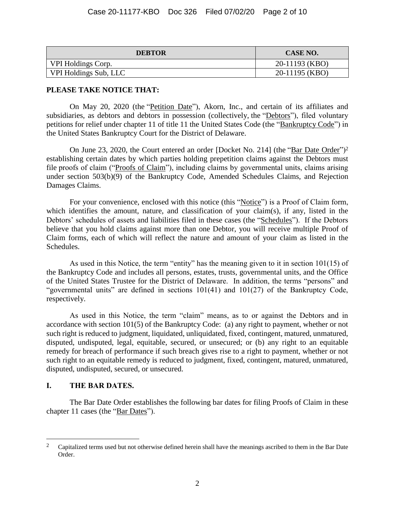| <b>DEBTOR</b>         | <b>CASE NO.</b> |
|-----------------------|-----------------|
| VPI Holdings Corp.    | 20-11193 (KBO)  |
| VPI Holdings Sub, LLC | 20-11195 (KBO)  |

#### **PLEASE TAKE NOTICE THAT:**

On May 20, 2020 (the "Petition Date"), Akorn, Inc., and certain of its affiliates and subsidiaries, as debtors and debtors in possession (collectively, the "Debtors"), filed voluntary petitions for relief under chapter 11 of title 11 the United States Code (the "Bankruptcy Code") in the United States Bankruptcy Court for the District of Delaware.

On June 23, 2020, the Court entered an order [Docket No. 214] (the "Bar Date Order")<sup>2</sup> establishing certain dates by which parties holding prepetition claims against the Debtors must file proofs of claim ("Proofs of Claim"), including claims by governmental units, claims arising under section 503(b)(9) of the Bankruptcy Code, Amended Schedules Claims, and Rejection Damages Claims.

For your convenience, enclosed with this notice (this "Notice") is a Proof of Claim form, which identifies the amount, nature, and classification of your claim(s), if any, listed in the Debtors' schedules of assets and liabilities filed in these cases (the "Schedules"). If the Debtors believe that you hold claims against more than one Debtor, you will receive multiple Proof of Claim forms, each of which will reflect the nature and amount of your claim as listed in the Schedules.

As used in this Notice, the term "entity" has the meaning given to it in section 101(15) of the Bankruptcy Code and includes all persons, estates, trusts, governmental units, and the Office of the United States Trustee for the District of Delaware. In addition, the terms "persons" and "governmental units" are defined in sections 101(41) and 101(27) of the Bankruptcy Code, respectively.

As used in this Notice, the term "claim" means, as to or against the Debtors and in accordance with section 101(5) of the Bankruptcy Code: (a) any right to payment, whether or not such right is reduced to judgment, liquidated, unliquidated, fixed, contingent, matured, unmatured, disputed, undisputed, legal, equitable, secured, or unsecured; or (b) any right to an equitable remedy for breach of performance if such breach gives rise to a right to payment, whether or not such right to an equitable remedy is reduced to judgment, fixed, contingent, matured, unmatured, disputed, undisputed, secured, or unsecured.

#### **I. THE BAR DATES.**

 $\overline{a}$ 

The Bar Date Order establishes the following bar dates for filing Proofs of Claim in these chapter 11 cases (the "Bar Dates").

<sup>&</sup>lt;sup>2</sup> Capitalized terms used but not otherwise defined herein shall have the meanings ascribed to them in the Bar Date Order.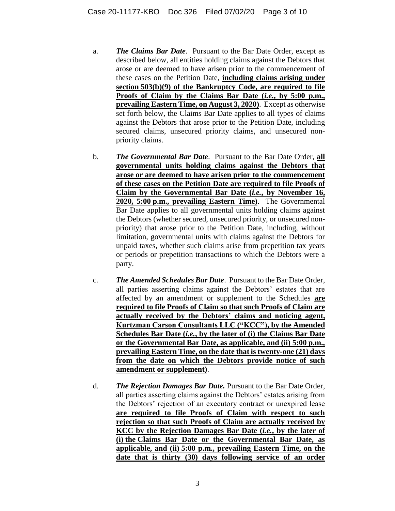- a. *The Claims Bar Date*. Pursuant to the Bar Date Order, except as described below, all entities holding claims against the Debtors that arose or are deemed to have arisen prior to the commencement of these cases on the Petition Date, **including claims arising under section 503(b)(9) of the Bankruptcy Code, are required to file Proofs of Claim by the Claims Bar Date (***i.e.***, by 5:00 p.m., prevailing Eastern Time, on August 3, 2020)**. Except as otherwise set forth below, the Claims Bar Date applies to all types of claims against the Debtors that arose prior to the Petition Date, including secured claims, unsecured priority claims, and unsecured nonpriority claims.
- b. *The Governmental Bar Date*. Pursuant to the Bar Date Order, **all governmental units holding claims against the Debtors that arose or are deemed to have arisen prior to the commencement of these cases on the Petition Date are required to file Proofs of Claim by the Governmental Bar Date (***i.e.***, by November 16, 2020, 5:00 p.m., prevailing Eastern Time)**. The Governmental Bar Date applies to all governmental units holding claims against the Debtors (whether secured, unsecured priority, or unsecured nonpriority) that arose prior to the Petition Date, including, without limitation, governmental units with claims against the Debtors for unpaid taxes, whether such claims arise from prepetition tax years or periods or prepetition transactions to which the Debtors were a party.
- c. *The Amended Schedules Bar Date*. Pursuant to the Bar Date Order, all parties asserting claims against the Debtors' estates that are affected by an amendment or supplement to the Schedules **are required to file Proofs of Claim so that such Proofs of Claim are actually received by the Debtors' claims and noticing agent, Kurtzman Carson Consultants LLC ("KCC"), by the Amended Schedules Bar Date (***i.e.***, by the later of (i) the Claims Bar Date or the Governmental Bar Date, as applicable, and (ii) 5:00 p.m., prevailing Eastern Time, on the date that is twenty-one (21) days from the date on which the Debtors provide notice of such amendment or supplement)**.
- d. *The Rejection Damages Bar Date.* Pursuant to the Bar Date Order, all parties asserting claims against the Debtors' estates arising from the Debtors' rejection of an executory contract or unexpired lease **are required to file Proofs of Claim with respect to such rejection so that such Proofs of Claim are actually received by KCC by the Rejection Damages Bar Date (***i.e.***, by the later of (i) the Claims Bar Date or the Governmental Bar Date, as applicable, and (ii) 5:00 p.m., prevailing Eastern Time, on the date that is thirty (30) days following service of an order**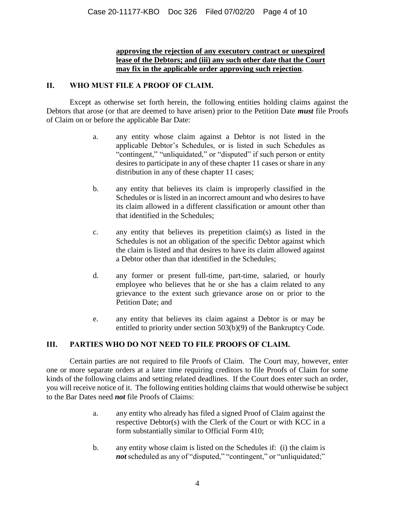#### **approving the rejection of any executory contract or unexpired lease of the Debtors; and (iii) any such other date that the Court may fix in the applicable order approving such rejection**.

#### **II. WHO MUST FILE A PROOF OF CLAIM.**

Except as otherwise set forth herein, the following entities holding claims against the Debtors that arose (or that are deemed to have arisen) prior to the Petition Date *must* file Proofs of Claim on or before the applicable Bar Date:

- a. any entity whose claim against a Debtor is not listed in the applicable Debtor's Schedules, or is listed in such Schedules as "contingent," "unliquidated," or "disputed" if such person or entity desires to participate in any of these chapter 11 cases or share in any distribution in any of these chapter 11 cases;
- b. any entity that believes its claim is improperly classified in the Schedules or is listed in an incorrect amount and who desires to have its claim allowed in a different classification or amount other than that identified in the Schedules;
- c. any entity that believes its prepetition claim(s) as listed in the Schedules is not an obligation of the specific Debtor against which the claim is listed and that desires to have its claim allowed against a Debtor other than that identified in the Schedules;
- d. any former or present full-time, part-time, salaried, or hourly employee who believes that he or she has a claim related to any grievance to the extent such grievance arose on or prior to the Petition Date; and
- e. any entity that believes its claim against a Debtor is or may be entitled to priority under section 503(b)(9) of the Bankruptcy Code.

#### **III. PARTIES WHO DO NOT NEED TO FILE PROOFS OF CLAIM.**

Certain parties are not required to file Proofs of Claim. The Court may, however, enter one or more separate orders at a later time requiring creditors to file Proofs of Claim for some kinds of the following claims and setting related deadlines. If the Court does enter such an order, you will receive notice of it. The following entities holding claims that would otherwise be subject to the Bar Dates need *not* file Proofs of Claims:

- a. any entity who already has filed a signed Proof of Claim against the respective Debtor(s) with the Clerk of the Court or with KCC in a form substantially similar to Official Form 410;
- b. any entity whose claim is listed on the Schedules if: (i) the claim is *not* scheduled as any of "disputed," "contingent," or "unliquidated;"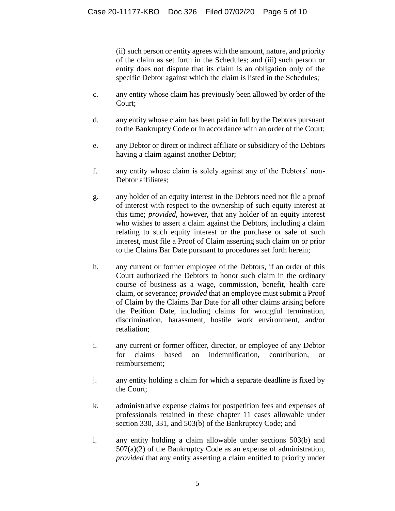(ii) such person or entity agrees with the amount, nature, and priority of the claim as set forth in the Schedules; and (iii) such person or entity does not dispute that its claim is an obligation only of the specific Debtor against which the claim is listed in the Schedules;

- c. any entity whose claim has previously been allowed by order of the Court;
- d. any entity whose claim has been paid in full by the Debtors pursuant to the Bankruptcy Code or in accordance with an order of the Court;
- e. any Debtor or direct or indirect affiliate or subsidiary of the Debtors having a claim against another Debtor;
- f. any entity whose claim is solely against any of the Debtors' non-Debtor affiliates;
- g. any holder of an equity interest in the Debtors need not file a proof of interest with respect to the ownership of such equity interest at this time; *provided*, however, that any holder of an equity interest who wishes to assert a claim against the Debtors, including a claim relating to such equity interest or the purchase or sale of such interest, must file a Proof of Claim asserting such claim on or prior to the Claims Bar Date pursuant to procedures set forth herein;
- h. any current or former employee of the Debtors, if an order of this Court authorized the Debtors to honor such claim in the ordinary course of business as a wage, commission, benefit, health care claim, or severance; *provided* that an employee must submit a Proof of Claim by the Claims Bar Date for all other claims arising before the Petition Date, including claims for wrongful termination, discrimination, harassment, hostile work environment, and/or retaliation;
- i. any current or former officer, director, or employee of any Debtor for claims based on indemnification, contribution, or reimbursement;
- j. any entity holding a claim for which a separate deadline is fixed by the Court;
- k. administrative expense claims for postpetition fees and expenses of professionals retained in these chapter 11 cases allowable under section 330, 331, and 503(b) of the Bankruptcy Code; and
- l. any entity holding a claim allowable under sections 503(b) and 507(a)(2) of the Bankruptcy Code as an expense of administration, *provided* that any entity asserting a claim entitled to priority under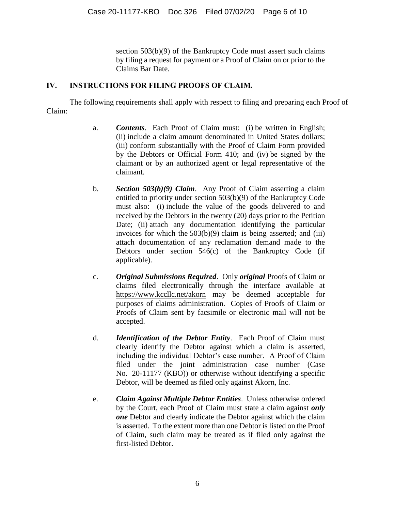section 503(b)(9) of the Bankruptcy Code must assert such claims by filing a request for payment or a Proof of Claim on or prior to the Claims Bar Date.

#### **IV. INSTRUCTIONS FOR FILING PROOFS OF CLAIM.**

The following requirements shall apply with respect to filing and preparing each Proof of Claim:

- a. *Contents*. Each Proof of Claim must: (i) be written in English; (ii) include a claim amount denominated in United States dollars; (iii) conform substantially with the Proof of Claim Form provided by the Debtors or Official Form 410; and (iv) be signed by the claimant or by an authorized agent or legal representative of the claimant.
- b. *Section 503(b)(9) Claim*. Any Proof of Claim asserting a claim entitled to priority under section 503(b)(9) of the Bankruptcy Code must also: (i) include the value of the goods delivered to and received by the Debtors in the twenty (20) days prior to the Petition Date; (ii) attach any documentation identifying the particular invoices for which the  $503(b)(9)$  claim is being asserted; and (iii) attach documentation of any reclamation demand made to the Debtors under section 546(c) of the Bankruptcy Code (if applicable).
- c. *Original Submissions Required*. Only *original* Proofs of Claim or claims filed electronically through the interface available at https://www.kccllc.net/akorn may be deemed acceptable for purposes of claims administration. Copies of Proofs of Claim or Proofs of Claim sent by facsimile or electronic mail will not be accepted.
- d. *Identification of the Debtor Entity*. Each Proof of Claim must clearly identify the Debtor against which a claim is asserted, including the individual Debtor's case number. A Proof of Claim filed under the joint administration case number (Case No. 20-11177 (KBO)) or otherwise without identifying a specific Debtor, will be deemed as filed only against Akorn, Inc.
- e. *Claim Against Multiple Debtor Entities*. Unless otherwise ordered by the Court, each Proof of Claim must state a claim against *only one* Debtor and clearly indicate the Debtor against which the claim is asserted. To the extent more than one Debtor is listed on the Proof of Claim, such claim may be treated as if filed only against the first-listed Debtor.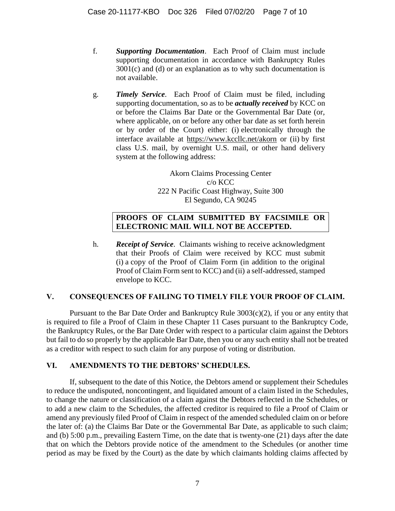- f. *Supporting Documentation*. Each Proof of Claim must include supporting documentation in accordance with Bankruptcy Rules 3001(c) and (d) or an explanation as to why such documentation is not available.
- g. *Timely Service*. Each Proof of Claim must be filed, including supporting documentation, so as to be *actually received* by KCC on or before the Claims Bar Date or the Governmental Bar Date (or, where applicable, on or before any other bar date as set forth herein or by order of the Court) either: (i) electronically through the interface available at https://www.kccllc.net/akorn or (ii) by first class U.S. mail, by overnight U.S. mail, or other hand delivery system at the following address:

Akorn Claims Processing Center c/o KCC 222 N Pacific Coast Highway, Suite 300 El Segundo, CA 90245

### **PROOFS OF CLAIM SUBMITTED BY FACSIMILE OR ELECTRONIC MAIL WILL NOT BE ACCEPTED.**

h. *Receipt of Service*. Claimants wishing to receive acknowledgment that their Proofs of Claim were received by KCC must submit (i) a copy of the Proof of Claim Form (in addition to the original Proof of Claim Form sent to KCC) and (ii) a self-addressed, stamped envelope to KCC.

#### **V. CONSEQUENCES OF FAILING TO TIMELY FILE YOUR PROOF OF CLAIM.**

Pursuant to the Bar Date Order and Bankruptcy Rule 3003(c)(2), if you or any entity that is required to file a Proof of Claim in these Chapter 11 Cases pursuant to the Bankruptcy Code, the Bankruptcy Rules, or the Bar Date Order with respect to a particular claim against the Debtors but fail to do so properly by the applicable Bar Date, then you or any such entity shall not be treated as a creditor with respect to such claim for any purpose of voting or distribution.

#### **VI. AMENDMENTS TO THE DEBTORS' SCHEDULES.**

If, subsequent to the date of this Notice, the Debtors amend or supplement their Schedules to reduce the undisputed, noncontingent, and liquidated amount of a claim listed in the Schedules, to change the nature or classification of a claim against the Debtors reflected in the Schedules, or to add a new claim to the Schedules, the affected creditor is required to file a Proof of Claim or amend any previously filed Proof of Claim in respect of the amended scheduled claim on or before the later of: (a) the Claims Bar Date or the Governmental Bar Date, as applicable to such claim; and (b) 5:00 p.m., prevailing Eastern Time, on the date that is twenty-one (21) days after the date that on which the Debtors provide notice of the amendment to the Schedules (or another time period as may be fixed by the Court) as the date by which claimants holding claims affected by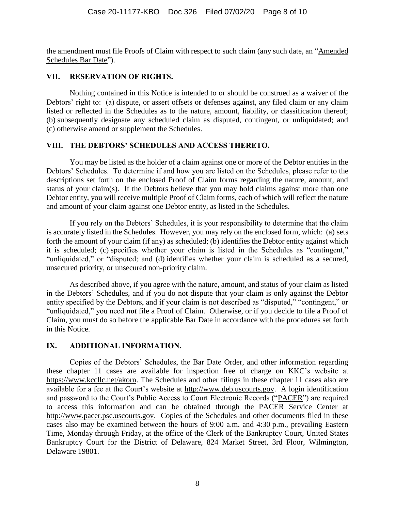the amendment must file Proofs of Claim with respect to such claim (any such date, an "Amended Schedules Bar Date").

#### **VII. RESERVATION OF RIGHTS.**

Nothing contained in this Notice is intended to or should be construed as a waiver of the Debtors' right to: (a) dispute, or assert offsets or defenses against, any filed claim or any claim listed or reflected in the Schedules as to the nature, amount, liability, or classification thereof; (b) subsequently designate any scheduled claim as disputed, contingent, or unliquidated; and (c) otherwise amend or supplement the Schedules.

#### **VIII. THE DEBTORS' SCHEDULES AND ACCESS THERETO.**

You may be listed as the holder of a claim against one or more of the Debtor entities in the Debtors' Schedules. To determine if and how you are listed on the Schedules, please refer to the descriptions set forth on the enclosed Proof of Claim forms regarding the nature, amount, and status of your claim(s). If the Debtors believe that you may hold claims against more than one Debtor entity, you will receive multiple Proof of Claim forms, each of which will reflect the nature and amount of your claim against one Debtor entity, as listed in the Schedules.

If you rely on the Debtors' Schedules, it is your responsibility to determine that the claim is accurately listed in the Schedules. However, you may rely on the enclosed form, which: (a) sets forth the amount of your claim (if any) as scheduled; (b) identifies the Debtor entity against which it is scheduled; (c) specifies whether your claim is listed in the Schedules as "contingent," "unliquidated," or "disputed; and (d) identifies whether your claim is scheduled as a secured, unsecured priority, or unsecured non-priority claim.

As described above, if you agree with the nature, amount, and status of your claim as listed in the Debtors' Schedules, and if you do not dispute that your claim is only against the Debtor entity specified by the Debtors, and if your claim is not described as "disputed," "contingent," or "unliquidated," you need *not* file a Proof of Claim. Otherwise, or if you decide to file a Proof of Claim, you must do so before the applicable Bar Date in accordance with the procedures set forth in this Notice.

#### **IX. ADDITIONAL INFORMATION.**

Copies of the Debtors' Schedules, the Bar Date Order, and other information regarding these chapter 11 cases are available for inspection free of charge on KKC's website at https://www.kccllc.net/akorn. The Schedules and other filings in these chapter 11 cases also are available for a fee at the Court's website at http://www.deb.uscourts.gov. A login identification and password to the Court's Public Access to Court Electronic Records ("PACER") are required to access this information and can be obtained through the PACER Service Center at http://www.pacer.psc.uscourts.gov. Copies of the Schedules and other documents filed in these cases also may be examined between the hours of 9:00 a.m. and 4:30 p.m., prevailing Eastern Time, Monday through Friday, at the office of the Clerk of the Bankruptcy Court, United States Bankruptcy Court for the District of Delaware, 824 Market Street, 3rd Floor, Wilmington, Delaware 19801.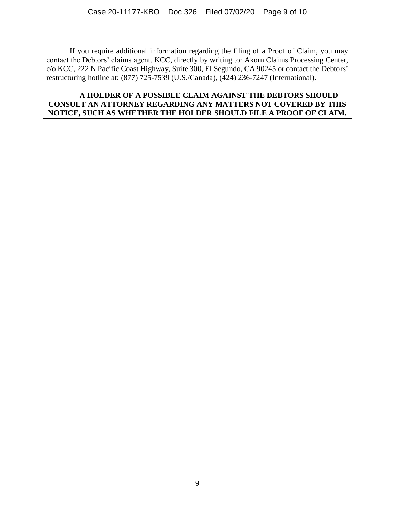If you require additional information regarding the filing of a Proof of Claim, you may contact the Debtors' claims agent, KCC, directly by writing to: Akorn Claims Processing Center, c/o KCC, 222 N Pacific Coast Highway, Suite 300, El Segundo, CA 90245 or contact the Debtors' restructuring hotline at: (877) 725-7539 (U.S./Canada), (424) 236-7247 (International).

#### **A HOLDER OF A POSSIBLE CLAIM AGAINST THE DEBTORS SHOULD CONSULT AN ATTORNEY REGARDING ANY MATTERS NOT COVERED BY THIS NOTICE, SUCH AS WHETHER THE HOLDER SHOULD FILE A PROOF OF CLAIM.**